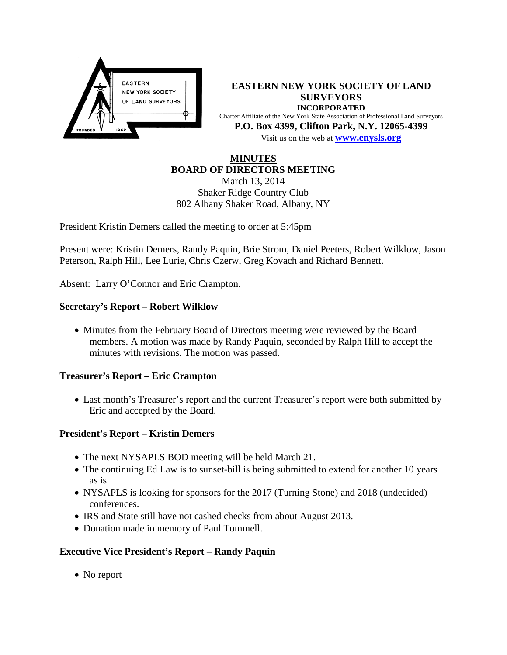

**EASTERN NEW YORK SOCIETY OF LAND SURVEYORS INCORPORATED** Charter Affiliate of the New York State Association of Professional Land Surveyors **P.O. Box 4399, Clifton Park, N.Y. 12065-4399** Visit us on the web at **[www.e](http://www.enysls.org/)nysls.org**

### **MINUTES BOARD OF DIRECTORS MEETING**

March 13, 2014 Shaker Ridge Country Club 802 Albany Shaker Road, Albany, NY

President Kristin Demers called the meeting to order at 5:45pm

Present were: Kristin Demers, Randy Paquin, Brie Strom, Daniel Peeters, Robert Wilklow, Jason Peterson, Ralph Hill, Lee Lurie, Chris Czerw, Greg Kovach and Richard Bennett.

Absent: Larry O'Connor and Eric Crampton.

### **Secretary's Report – Robert Wilklow**

• Minutes from the February Board of Directors meeting were reviewed by the Board members. A motion was made by Randy Paquin, seconded by Ralph Hill to accept the minutes with revisions. The motion was passed.

### **Treasurer's Report – Eric Crampton**

• Last month's Treasurer's report and the current Treasurer's report were both submitted by Eric and accepted by the Board.

### **President's Report – Kristin Demers**

- The next NYSAPLS BOD meeting will be held March 21.
- The continuing Ed Law is to sunset-bill is being submitted to extend for another 10 years as is.
- NYSAPLS is looking for sponsors for the 2017 (Turning Stone) and 2018 (undecided) conferences.
- IRS and State still have not cashed checks from about August 2013.
- Donation made in memory of Paul Tommell.

## **Executive Vice President's Report – Randy Paquin**

• No report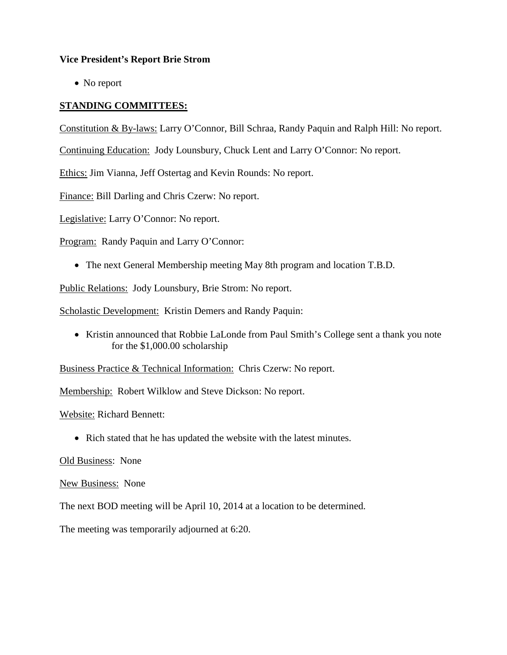### **Vice President's Report Brie Strom**

• No report

# **STANDING COMMITTEES:**

Constitution & By-laws: Larry O'Connor, Bill Schraa, Randy Paquin and Ralph Hill: No report.

Continuing Education: Jody Lounsbury, Chuck Lent and Larry O'Connor: No report.

Ethics: Jim Vianna, Jeff Ostertag and Kevin Rounds: No report.

Finance: Bill Darling and Chris Czerw: No report.

Legislative: Larry O'Connor: No report.

Program: Randy Paquin and Larry O'Connor:

• The next General Membership meeting May 8th program and location T.B.D.

Public Relations: Jody Lounsbury, Brie Strom: No report.

Scholastic Development: Kristin Demers and Randy Paquin:

• Kristin announced that Robbie LaLonde from Paul Smith's College sent a thank you note for the \$1,000.00 scholarship

Business Practice & Technical Information: Chris Czerw: No report.

Membership: Robert Wilklow and Steve Dickson: No report.

Website: Richard Bennett:

• Rich stated that he has updated the website with the latest minutes.

Old Business: None

New Business: None

The next BOD meeting will be April 10, 2014 at a location to be determined.

The meeting was temporarily adjourned at 6:20.